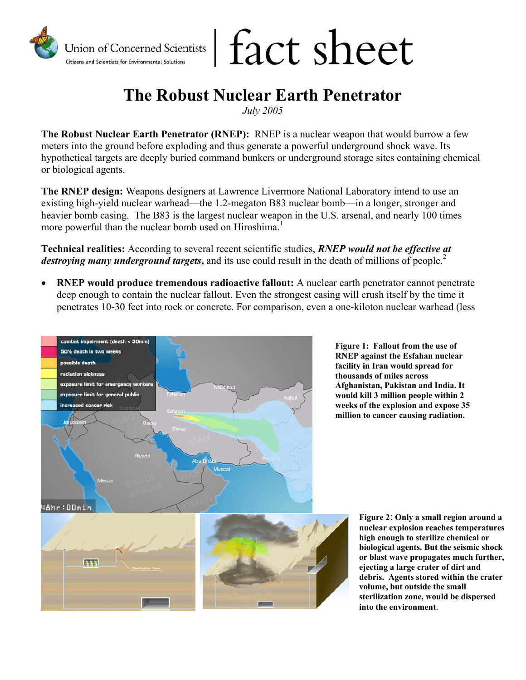

## fact sheet

## **The Robust Nuclear Earth Penetrator**

*July 2005* 

**The Robust Nuclear Earth Penetrator (RNEP):** RNEP is a nuclear weapon that would burrow a few meters into the ground before exploding and thus generate a powerful underground shock wave. Its hypothetical targets are deeply buried command bunkers or underground storage sites containing chemical or biological agents.

**The RNEP design:** Weapons designers at Lawrence Livermore National Laboratory intend to use an existing high-yield nuclear warhead—the 1.2-megaton B83 nuclear bomb—in a longer, stronger and heavier bomb casing. The B83 is the largest nuclear weapon in the U.S. arsenal, and nearly 100 times more powerful than the nuclear bomb used on Hiroshima.<sup>1</sup>

**Technical realities:** According to several recent scientific studies, *RNEP would not be effective at destroying many underground targets*, and its use could result in the death of millions of people.<sup>2</sup>

• **RNEP would produce tremendous radioactive fallout:** A nuclear earth penetrator cannot penetrate deep enough to contain the nuclear fallout. Even the strongest casing will crush itself by the time it penetrates 10-30 feet into rock or concrete. For comparison, even a one-kiloton nuclear warhead (less



**Figure 1: Fallout from the use of RNEP against the Esfahan nuclear facility in Iran would spread for thousands of miles across Afghanistan, Pakistan and India. It would kill 3 million people within 2 weeks of the explosion and expose 35 million to cancer causing radiation.**

> **Figure 2**: **Only a small region around a nuclear explosion reaches temperatures high enough to sterilize chemical or biological agents. But the seismic shock or blast wave propagates much further, ejecting a large crater of dirt and debris. Agents stored within the crater volume, but outside the small sterilization zone, would be dispersed into the environment**.